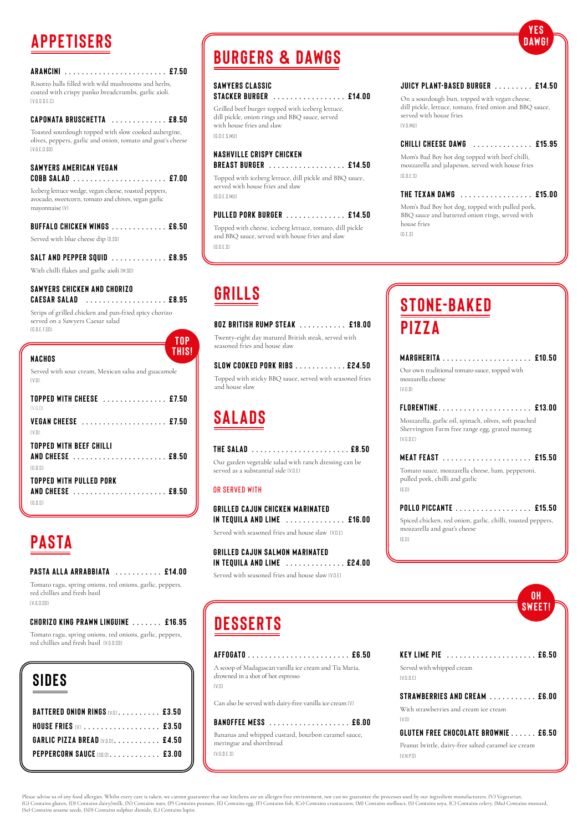| ARANCINI  £7.50 |  |  |  |  |  |  |  |  |  |  |  |  |  |  |  |  |  |  |  |  |  |  |  |  |  |  |
|-----------------|--|--|--|--|--|--|--|--|--|--|--|--|--|--|--|--|--|--|--|--|--|--|--|--|--|--|
|-----------------|--|--|--|--|--|--|--|--|--|--|--|--|--|--|--|--|--|--|--|--|--|--|--|--|--|--|

Risotto balls filled with wild mushrooms and herbs, coated with crispy panko breadcrumbs, garlic aioli. (V,G,S,D,E,C)

### **Caponata Bruschetta . . . . . . . . . . . . . £8.5 0**

Toasted sourdough topped with slow cooked aubergine, olives, peppers, garlic and onion, tomato and goat's cheese (V,G,E,D,SD)

### **SAWYERS AMERICAN VEGAN**

#### **SAWYERS CHICKEN AND CHORIZO Caesar Salad . . . . . . . . . . . . . . . . . . . £8.95**

Strips of grilled chicken and pan-fried spicy chorizo served on a Sawyers Caesar salad  $(fR \cap F \in S \cap E)$ 

Iceberg lettuce wedge, vegan cheese, roasted peppers, avocado, sweetcorn, tomato and chives, vegan garlic mayonnaise (V)

| BUFFALO CHICKEN WINGS  £6.50       |  |
|------------------------------------|--|
| Served with blue cheese dip [0.80] |  |
| SALT AND PEPPER SQUID  £8.95       |  |

With chilli flakes and garlic aioli (M,SD)

On a sourdough bun, topped with vegan cheese, dill pickle, lettuce, tomato, fried onion and BBQ sauce, served with house fries  $f$  V,  $G$  MII)

Mom's Bad Boy hot dog topped with beef chilli, mozzarella and jalapenos, served with house fries  $(f, \nabla \cap F, S)$ 

|                                                                          | TOP          |
|--------------------------------------------------------------------------|--------------|
| NACHOS                                                                   | <b>THIS!</b> |
| Served with sour cream, Mexican salsa and guacamole<br>(V <sub>1</sub> ) |              |
| TOPPED WITH CHEESE  £7.50<br>$(V \cap \mathbb{D})$                       |              |
| VEGAN CHEESE  £7.50<br>$(V.D)$ .                                         |              |
| <b>TOPPED WITH BEEF CHILLI</b><br>AND CHEESE  £8.50<br>(G.D.S)           |              |
| TOPPED WITH PULLED PORK<br>(f, n, s)                                     |              |

Mom's Bad Boy hot dog, topped with pulled pork, BBQ sauce and battered onion rings, served with house fries  $(f, F, S)$ 

Tomato ragu, spring onions, red onions, garlic, peppers, red chillies and fresh basil  $(V \cap D \cap S \cap D)$ 

Tomato ragu, spring onions, red onions, garlic, peppers, red chillies and fresh basil (V, G, D, SD)

## **APPETISERS**

### **Saw y er s Cl as sic**

|  | <b>STACKER BURGER</b> £14.00 |  |
|--|------------------------------|--|
|--|------------------------------|--|

Grilled beef burger topped with iceberg lettuce, dill pickle, onion rings and BBQ sauce, served with house fries and slaw (G,D,E,S,Mu)

### **NASHVILLE CRISPY CHICKEN**

### **Breast Burger . . . . . . . . . . . . . . . . . . £14.50**

Topped with iceberg lettuce, dill pickle and BBQ sauce, served with house fries and slaw (G,D,E,S,Mu)

**GRILLED CAJUN SALMON MARINATED in Tequila and Lime . . . . . . . . . . . . . . £2 4.00**

Served with seasoned fries and house slaw (V, D, E)

### **Pulled Pork Burger . . . . . . . . . . . . . . £14.50**

Topped with cheese, iceberg lettuce, tomato, dill pickle and BBQ sauce, served with house fries and slaw (G,D,E,S)

### **Juicy Plant-Based Burger . . . . . . . . . £14.50**

### **STONE-BAKED Pizza**

### **Chilli Cheese Dawg . . . . . . . . . . . . . . £15.95**

### **The Texan Dawg . . . . . . . . . . . . . . . . . £15.00**

Please advise us of any food allergies. Whilst every care is taken, we cannot guarantee that our kitchens are an allergen free environment, nor can we guarantee the processes used by our ingredient manufacturers. (V) Veget (G) Contains gluten, (D) Contains dairy/milk, (N) Contains nuts, (P) Contains peanuts, (E) Contains egg, (F) Contains fish, (Cr) Contains ruustaceans, (M) Contains molluscs, (S) Contains soya, (C) Contains celery, (Mu) Con (Se) Contains sesame seeds, (SD) Contains sulphur dioxide, (L) Contains lupin.

# **Burgers & Dawgs**

**Y E S DAWG!**

### **Pasta Alla Arrabbiata . . . . . . . . . . . £14.00**

A scoop of Madagascan vanilla ice cream and Tia Maria, drowned in a shot of hot espresso  $(V, D)$ 

**Chorizo King Prawn Linguine . . . . . . . £16.95**

### **PASTA**

# **GRILLS**

| 80Z BRITISH RUMP STEAK  £18.00                                                                |  |
|-----------------------------------------------------------------------------------------------|--|
| Twenty-eight day matured British steak, served with<br>seasoned fries and house slaw          |  |
| <b>SLOW COOKED PORK RIBS £24.50</b>                                                           |  |
| Topped with sticky BBQ sauce, served with seasoned fries<br>and house slaw                    |  |
| <b>SALADS</b>                                                                                 |  |
| THE SALAD  £8.50                                                                              |  |
| Our garden vegetable salad with ranch dressing can be<br>served as a substantial side (V.D.E) |  |
|                                                                                               |  |

### **OR SERVED WITH**

| <b>GRILLED CAJUN CHICKEN MARINATED</b>                 |  |
|--------------------------------------------------------|--|
| IN TEQUILA AND LIME $\dots\dots\dots\dots\dots$ £16.00 |  |
| Served with seasoned fries and house slaw (V.D.E)      |  |

| <b>MARGHFRITA</b><br><b>E</b> 10.50                                                                                  |
|----------------------------------------------------------------------------------------------------------------------|
| Our own traditional tomato sauce, topped with<br>mozzarella cheese                                                   |
| (V.G.D)                                                                                                              |
| FLORENTINE<br><b>F13 NN</b>                                                                                          |
| Mozzarella, garlic oil, spinach, olives, soft poached<br>Shervington Farm free range egg, grated nutmeg<br>(V.G.D.E) |
|                                                                                                                      |
| Tomato sauce, mozzarella cheese, ham, pepperoni,<br>pulled pork, chilli and garlic<br>(6.0)                          |
| POLLO PICCANTE £15.50                                                                                                |
| Spiced chicken, red onion, garlic, chilli, roasted peppers,<br>mozzarella and goat's cheese                          |
| (G.D)                                                                                                                |
|                                                                                                                      |
|                                                                                                                      |

| SIDES                                        |  |
|----------------------------------------------|--|
| <b>BATTERED ONION RINGS IVELLETTLE FR.50</b> |  |
| HOUSE FRIES $(v)$ £3.50                      |  |
| <b>GARLIC PIZZA BREAD (VGD) £4.50</b>        |  |
| PEPPERCORN SAUCE (SD.D. £3.00                |  |
|                                              |  |



**Des ser t s** 



**Key Lime Pie . . . . . . . . . . . . . . . . . . . . . £6.5 0**

Served with whipped cream (V,G,D,E)

#### **Strawberries and Cream . . . . . . . . . . . £6.00**

With strawberries and cream ice cream

 $(V \cap)$ 

### **Gluten Free Chocolate Brownie . . . . . . £6.5 0**

Peanut brittle, dairy-free salted caramel ice cream

( V, N , P, S )

#### **Affogato . . . . . . . . . . . . . . . . . . . . . . . . £6.5 0**

Can also be served with dairy-free vanilla ice cream (V)

**Banoffee Mess . . . . . . . . . . . . . . . . . . . £6.00**

Bananas and whipped custard, bourbon caramel sauce, meringue and shortbread

(V,G,D,E.S)